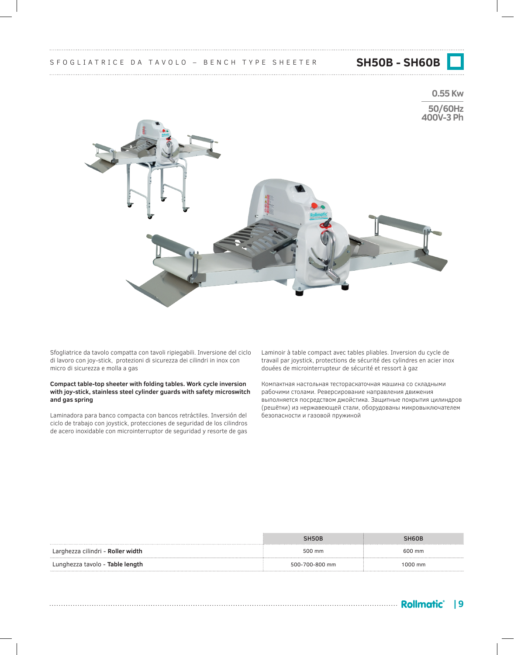**0.55 Kw**

**50/60Hz 400V-3 Ph**



Sfogliatrice da tavolo compatta con tavoli ripiegabili. Inversione del ciclo di lavoro con joy-stick, protezioni di sicurezza dei cilindri in inox con micro di sicurezza e molla a gas

### **Compact table-top sheeter with folding tables. Work cycle inversion with joy-stick, stainless steel cylinder guards with safety microswitch and gas spring**

Laminadora para banco compacta con bancos retráctiles. Inversión del ciclo de trabajo con joystick, protecciones de seguridad de los cilindros de acero inoxidable con microinterruptor de seguridad y resorte de gas

Laminoir à table compact avec tables pliables. Inversion du cycle de travail par joystick, protections de sécurité des cylindres en acier inox douées de microinterrupteur de sécurité et ressort à gaz

Компактная настольная тестораскаточная машина со складными рабочими столами. Реверсирование направления движения выполняется посредством джойстика. Защитные покрытия цилиндров (решётки) из нержавеющей стали, оборудованы микровыключателем безопасности и газовой пружиной

|                                   | SH50B          | SH <sub>60</sub> B |
|-----------------------------------|----------------|--------------------|
| Larghezza cilindri - Roller width | 500 mm         | 600 mm             |
| Lunghezza tavolo - Table length   | 500-700-800 mm | 1000 mm            |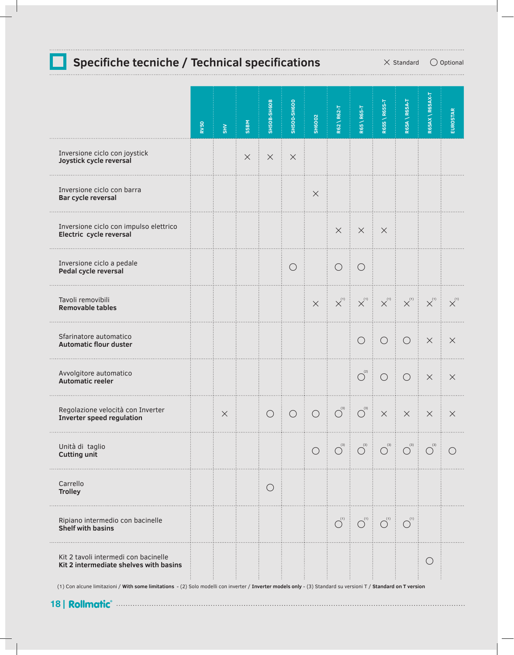# **Specifiche tecniche / Technical specifications**  $\times$  Standard  $\circ$  Optional

|                                                                                | <b>RV50</b> | S H V    | S5BM     | <b>SH50B-SH60B</b> | <b>SH500-SH600</b> | <b>SH6002</b>                                                                                                                                                                                                                                                                                                    | R62 \R62-T              | R65 \ R65-T                                    | R65S \ R65S-T         | R65A \ R65A-T         | R65AX \R65AX-T        | <b>EUROSTAR</b> |
|--------------------------------------------------------------------------------|-------------|----------|----------|--------------------|--------------------|------------------------------------------------------------------------------------------------------------------------------------------------------------------------------------------------------------------------------------------------------------------------------------------------------------------|-------------------------|------------------------------------------------|-----------------------|-----------------------|-----------------------|-----------------|
| Inversione ciclo con joystick<br>Joystick cycle reversal                       |             |          | $\times$ | $\times$           | $\times$           |                                                                                                                                                                                                                                                                                                                  |                         |                                                |                       |                       |                       |                 |
| Inversione ciclo con barra<br>Bar cycle reversal                               |             |          |          |                    |                    | $\times$                                                                                                                                                                                                                                                                                                         |                         |                                                |                       |                       |                       |                 |
| Inversione ciclo con impulso elettrico<br>Electric cycle reversal              |             |          |          |                    |                    |                                                                                                                                                                                                                                                                                                                  | $\times$                | $\times$                                       | $\times$              |                       |                       |                 |
| Inversione ciclo a pedale<br>Pedal cycle reversal                              |             |          |          |                    | $\bigcirc$         |                                                                                                                                                                                                                                                                                                                  | $\bigcirc$              | $\bigcirc$                                     |                       |                       |                       |                 |
| Tavoli removibili<br><b>Removable tables</b>                                   |             |          |          |                    |                    | $\times$                                                                                                                                                                                                                                                                                                         | $\mathsf{X}^{^{(1)}}$   | $\mathsf{X}^{^{(1)}}$                          | $\mathsf{X}^{^{(1)}}$ | $\mathsf{X}^{^{(1)}}$ | $\mathsf{X}^{^{(1)}}$ | $X^{(1)}$       |
| Sfarinatore automatico<br><b>Automatic flour duster</b>                        |             |          |          |                    |                    |                                                                                                                                                                                                                                                                                                                  |                         | $\bigcirc$                                     | $\bigcirc$            | $\bigcirc$            | $\times$              | $\times$        |
| Avvolgitore automatico<br><b>Automatic reeler</b>                              |             |          |          |                    |                    |                                                                                                                                                                                                                                                                                                                  |                         | $\overline{\bigcirc}^{\scriptscriptstyle (2)}$ | $\bigcirc$            | $\bigcirc$            | $\times$              | $\times$        |
| Regolazione velocità con Inverter<br>Inverter speed regulation                 |             | $\times$ |          | $\bigcirc$         | $\bigcirc$         | $\begin{array}{c c} \begin{array}{c} \hline \end{array} & \begin{array}{c} \hline \end{array} \\ \hline \end{array} \end{array} \begin{array}{c} \begin{array}{c} \hline \end{array} \\ \hline \begin{array}{c} \hline \end{array} \end{array} \begin{array}{c} \begin{array}{c} \hline \end{array} \end{array}$ |                         | $\bigcirc^{\scriptscriptstyle(3)}$             | $\times$              | $\times$              | $\times$              | $\times$        |
| Unità di taglio<br><b>Cutting unit</b>                                         |             |          |          |                    |                    | $\bigcirc$                                                                                                                                                                                                                                                                                                       | (3)<br>$\bigcirc$       | (3)<br>$\bigcirc$                              | (3)<br>$\bigcirc$     | (3)<br>$\bigcirc$     | (3)<br>$\bigcirc$     | $($ )           |
| Carrello<br><b>Trolley</b>                                                     |             |          |          | $\bigcirc$         |                    |                                                                                                                                                                                                                                                                                                                  |                         |                                                |                       |                       |                       |                 |
| Ripiano intermedio con bacinelle<br><b>Shelf with basins</b>                   |             |          |          |                    |                    |                                                                                                                                                                                                                                                                                                                  | $\overline{O}^{^{(1)}}$ | $\overline{\bigcirc}^{\scriptscriptstyle(1)}$  | $\overline{O}^{(1)}$  | $O^{^{(1)}}$          |                       |                 |
| Kit 2 tavoli intermedi con bacinelle<br>Kit 2 intermediate shelves with basins |             |          |          |                    |                    |                                                                                                                                                                                                                                                                                                                  |                         |                                                |                       |                       | $\bigcirc$            |                 |

(1) Con alcune limitazioni / **With some limitations** - (2) Solo modelli con inverter / **Inverter models only** - (3) Standard su versioni T / **Standard on T version**

**18 |**